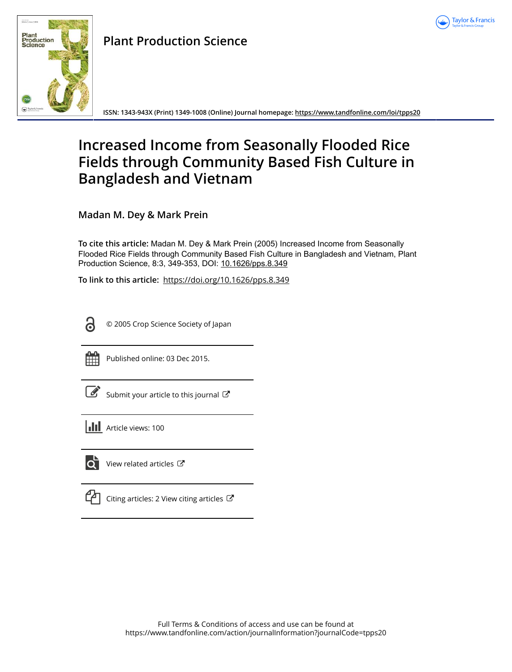



## **Plant Production Science**

**ISSN: 1343-943X (Print) 1349-1008 (Online) Journal homepage: <https://www.tandfonline.com/loi/tpps20>**

# **Increased Income from Seasonally Flooded Rice Fields through Community Based Fish Culture in Bangladesh and Vietnam**

**Madan M. Dey & Mark Prein**

**To cite this article:** Madan M. Dey & Mark Prein (2005) Increased Income from Seasonally Flooded Rice Fields through Community Based Fish Culture in Bangladesh and Vietnam, Plant Production Science, 8:3, 349-353, DOI: [10.1626/pps.8.349](https://www.tandfonline.com/action/showCitFormats?doi=10.1626/pps.8.349)

**To link to this article:** <https://doi.org/10.1626/pps.8.349>



© 2005 Crop Science Society of Japan



Published online: 03 Dec 2015.

[Submit your article to this journal](https://www.tandfonline.com/action/authorSubmission?journalCode=tpps20&show=instructions)  $\mathbb{Z}$ 

**III** Article views: 100



[View related articles](https://www.tandfonline.com/doi/mlt/10.1626/pps.8.349)  $\mathbb{Z}$ 

| and the state of the state of the state of the state of the state of the state of the state of the state of th |  |
|----------------------------------------------------------------------------------------------------------------|--|
|                                                                                                                |  |

[Citing articles: 2 View citing articles](https://www.tandfonline.com/doi/citedby/10.1626/pps.8.349#tabModule)  $\mathbb{Z}$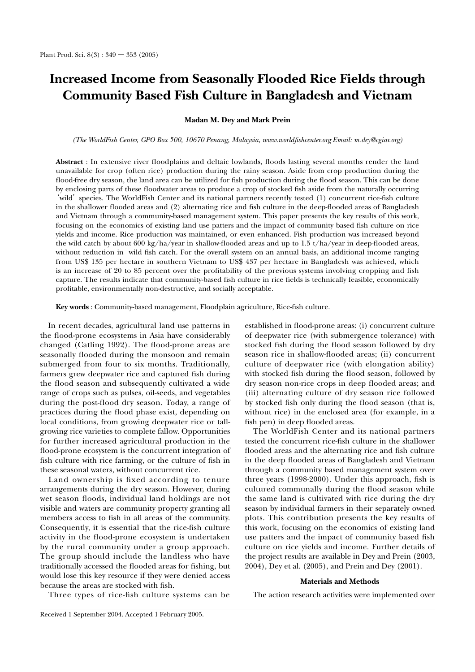## **Increased Income from Seasonally Flooded Rice Fields through Community Based Fish Culture in Bangladesh and Vietnam**

## **Madan M. Dey and Mark Prein**

*(The WorldFish Center, GPO Box 500, 10670 Penang, Malaysia, www.worldfi shcenter.org Email: m.dey@cgiar.org)*

Abstract : In extensive river floodplains and deltaic lowlands, floods lasting several months render the land unavailable for crop (often rice) production during the rainy season. Aside from crop production during the flood-free dry season, the land area can be utilized for fish production during the flood season. This can be done by enclosing parts of these floodwater areas to produce a crop of stocked fish aside from the naturally occurring 'wild' species. The WorldFish Center and its national partners recently tested (1) concurrent rice-fish culture in the shallower flooded areas and (2) alternating rice and fish culture in the deep-flooded areas of Bangladesh and Vietnam through a community-based management system. This paper presents the key results of this work, focusing on the economics of existing land use patters and the impact of community based fish culture on rice yields and income. Rice production was maintained, or even enhanced. Fish production was increased beyond the wild catch by about 600 kg/ha/year in shallow-flooded areas and up to  $1.5 \frac{t}{h}$ /year in deep-flooded areas, without reduction in wild fish catch. For the overall system on an annual basis, an additional income ranging from US\$ 135 per hectare in southern Vietnam to US\$ 437 per hectare in Bangladesh was achieved, which is an increase of 20 to 85 percent over the profitability of the previous systems involving cropping and fish capture. The results indicate that community-based fish culture in rice fields is technically feasible, economically profitable, environmentally non-destructive, and socially acceptable.

**Key words** : Community-based management, Floodplain agriculture, Rice-fish culture.

In recent decades, agricultural land use patterns in the flood-prone ecosystems in Asia have considerably changed (Catling 1992). The flood-prone areas are seasonally flooded during the monsoon and remain submerged from four to six months. Traditionally, farmers grew deepwater rice and captured fish during the flood season and subsequently cultivated a wide range of crops such as pulses, oil-seeds, and vegetables during the post-flood dry season. Today, a range of practices during the flood phase exist, depending on local conditions, from growing deepwater rice or tallgrowing rice varieties to complete fallow. Opportunities for further increased agricultural production in the flood-prone ecosystem is the concurrent integration of fish culture with rice farming, or the culture of fish in these seasonal waters, without concurrent rice.

Land ownership is fixed according to tenure arrangements during the dry season. However, during wet season floods, individual land holdings are not visible and waters are community property granting all members access to fish in all areas of the community. Consequently, it is essential that the rice-fish culture activity in the flood-prone ecosystem is undertaken by the rural community under a group approach. The group should include the landless who have traditionally accessed the flooded areas for fishing, but would lose this key resource if they were denied access because the areas are stocked with fish.

established in flood-prone areas: (i) concurrent culture of deepwater rice (with submergence tolerance) with stocked fish during the flood season followed by dry season rice in shallow-flooded areas; (ii) concurrent culture of deepwater rice (with elongation ability) with stocked fish during the flood season, followed by dry season non-rice crops in deep flooded areas; and (iii) alternating culture of dry season rice followed by stocked fish only during the flood season (that is, without rice) in the enclosed area (for example, in a fish pen) in deep flooded areas.

The WorldFish Center and its national partners tested the concurrent rice-fish culture in the shallower flooded areas and the alternating rice and fish culture in the deep flooded areas of Bangladesh and Vietnam through a community based management system over three years  $(1998-2000)$ . Under this approach, fish is cultured communally during the flood season while the same land is cultivated with rice during the dry season by individual farmers in their separately owned plots. This contribution presents the key results of this work, focusing on the economics of existing land use patters and the impact of community based fish culture on rice yields and income. Further details of the project results are available in Dey and Prein (2003, 2004), Dey et al. (2005), and Prein and Dey (2001).

## **Materials and Methods**

Three types of rice-fish culture systems can be

The action research activities were implemented over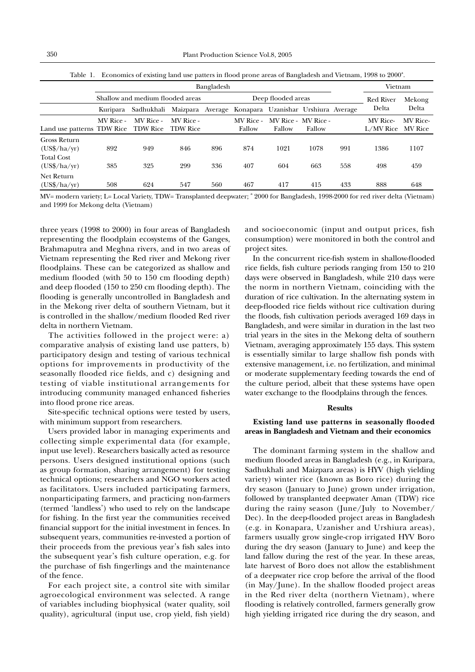|                                              |           |                                  |                                                                          | Vietnam            |                     |                               |        |           |                               |          |
|----------------------------------------------|-----------|----------------------------------|--------------------------------------------------------------------------|--------------------|---------------------|-------------------------------|--------|-----------|-------------------------------|----------|
|                                              |           | Shallow and medium flooded areas |                                                                          | Deep flooded areas |                     |                               |        | Red River | Mekong                        |          |
|                                              |           |                                  | Kuripara Sadhukhali Maizpara Average Konapara Uzanishar Urshiura Average |                    |                     |                               | Delta  | Delta     |                               |          |
| Land use patterns TDW Rice TDW Rice TDW Rice | MV Rice - | MV Rice -                        | MV Rice -                                                                |                    | MV Rice -<br>Fallow | MV Rice - MV Rice -<br>Fallow | Fallow |           | MV Rice-<br>L/MV Rice MV Rice | MV Rice- |
| Gross Return<br>$(US\frac{4}{3} / ha/yr)$    | 892       | 949                              | 846                                                                      | 896                | 874                 | 1021                          | 1078   | 991       | 1386                          | 1107     |
| Total Cost<br>$(US\frac{6}{3} / ha/yr)$      | 385       | 325                              | 299                                                                      | 336                | 407                 | 604                           | 663    | 558       | 498                           | 459      |
| Net Return                                   |           |                                  |                                                                          |                    |                     |                               |        |           |                               |          |

Table 1. Economics of existing land use patters in flood prone areas of Bangladesh and Vietnam,  $1998$  to  $2000^2$ .

MV= modern variety; L= Local Variety, TDW= Transplanted deepwater; <sup>a</sup> 2000 for Bangladesh, 1998-2000 for red river delta (Vietnam) and 1999 for Mekong delta (Vietnam)

(US\$/ha/yr) 508 624 547 560 467 417 415 433 888 648

three years (1998 to 2000) in four areas of Bangladesh representing the floodplain ecosystems of the Ganges, Brahmaputra and Meghna rivers, and in two areas of Vietnam representing the Red river and Mekong river floodplains. These can be categorized as shallow and medium flooded (with 50 to 150 cm flooding depth) and deep flooded (150 to 250 cm flooding depth). The flooding is generally uncontrolled in Bangladesh and in the Mekong river delta of southern Vietnam, but it is controlled in the shallow/medium flooded Red river delta in northern Vietnam.

The activities followed in the project were: a) comparative analysis of existing land use patters, b) participatory design and testing of various technical options for improvements in productivity of the seasonally flooded rice fields, and c) designing and testing of viable institutional arrangements for introducing community managed enhanced fisheries into flood prone rice areas.

Site-specific technical options were tested by users, with minimum support from researchers.

Users provided labor in managing experiments and collecting simple experimental data (for example, input use level). Researchers basically acted as resource persons. Users designed institutional options (such as group formation, sharing arrangement) for testing technical options; researchers and NGO workers acted as facilitators. Users included participating farmers, nonparticipating farmers, and practicing non-farmers (termed 'landless') who used to rely on the landscape for fishing. In the first year the communities received financial support for the initial investment in fences. In subsequent years, communities re-invested a portion of their proceeds from the previous year's fish sales into the subsequent year's fish culture operation, e.g. for the purchase of fish fingerlings and the maintenance of the fence.

For each project site, a control site with similar agroecological environment was selected. A range of variables including biophysical (water quality, soil quality), agricultural (input use, crop yield, fish yield)

and socioeconomic (input and output prices, fish consumption) were monitored in both the control and project sites.

In the concurrent rice-fish system in shallow-flooded rice fields, fish culture periods ranging from 150 to 210 days were observed in Bangladesh, while 210 days were the norm in northern Vietnam, coinciding with the duration of rice cultivation. In the alternating system in deep-flooded rice fields without rice cultivation during the floods, fish cultivation periods averaged 169 days in Bangladesh, and were similar in duration in the last two trial years in the sites in the Mekong delta of southern Vietnam, averaging approximately 155 days. This system is essentially similar to large shallow fish ponds with extensive management, i.e. no fertilization, and minimal or moderate supplementary feeding towards the end of the culture period, albeit that these systems have open water exchange to the floodplains through the fences.

## **Results**

## **Existing land use patterns in seasonally flooded areas in Bangladesh and Vietnam and their economics**

The dominant farming system in the shallow and medium flooded areas in Bangladesh (e.g., in Kuripara, Sadhukhali and Maizpara areas) is HYV (high yielding variety) winter rice (known as Boro rice) during the dry season (January to June) grown under irrigation, followed by transplanted deepwater Aman (TDW) rice during the rainy season (June/July to November/ Dec). In the deep-flooded project areas in Bangladesh (e.g. in Konapara, Uzanisher and Urshiura areas), farmers usually grow single-crop irrigated HYV Boro during the dry season (January to June) and keep the land fallow during the rest of the year. In these areas, late harvest of Boro does not allow the establishment of a deepwater rice crop before the arrival of the flood  $(in May/June)$ . In the shallow flooded project areas in the Red river delta (northern Vietnam), where flooding is relatively controlled, farmers generally grow high yielding irrigated rice during the dry season, and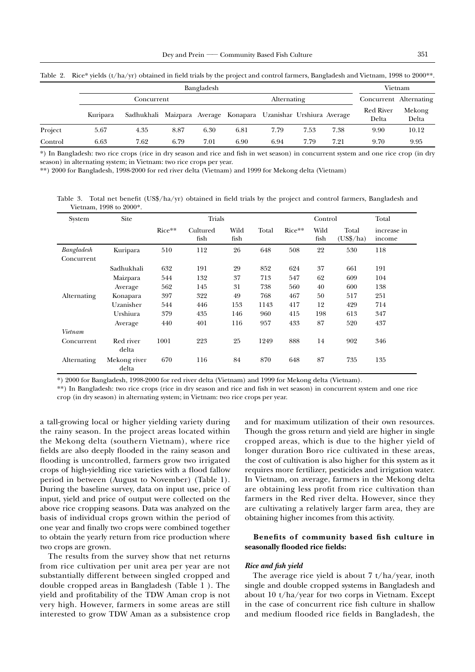|         | Bangladesh |                                                                 |      |      |             |      |      |      |                           | Vietnam         |  |
|---------|------------|-----------------------------------------------------------------|------|------|-------------|------|------|------|---------------------------|-----------------|--|
|         | Concurrent |                                                                 |      |      | Alternating |      |      |      | Concurrent Alternating    |                 |  |
|         | Kuripara   | Sadhukhali Maizpara Average Konapara Uzanishar Urshiura Average |      |      |             |      |      |      | <b>Red River</b><br>Delta | Mekong<br>Delta |  |
| Project | 5.67       | 4.35                                                            | 8.87 | 6.30 | 6.81        | 7.79 | 7.53 | 7.38 | 9.90                      | 10.12           |  |
| Control | 6.63       | 7.62                                                            | 6.79 | 7.01 | 6.90        | 6.94 | 7.79 | 7.21 | 9.70                      | 9.95            |  |

Table 2. Rice\* yields  $(t/ha/yr)$  obtained in field trials by the project and control farmers, Bangladesh and Vietnam, 1998 to 2000\*\*.

\*) In Bangladesh: two rice crops (rice in dry season and rice and fish in wet season) in concurrent system and one rice crop (in dry season) in alternating system; in Vietnam: two rice crops per year.

\*\*) 2000 for Bangladesh, 1998-2000 for red river delta (Vietnam) and 1999 for Mekong delta (Vietnam)

Table 3. Total net benefit  $(US\frac{6}{\pi})$  obtained in field trials by the project and control farmers, Bangladesh and Vietnam, 1998 to 2000\*.

| System      | Site                  |          |                  |              | Total |          |              |                            |                       |
|-------------|-----------------------|----------|------------------|--------------|-------|----------|--------------|----------------------------|-----------------------|
|             |                       | $Rice**$ | Cultured<br>fish | Wild<br>fish | Total | $Rice**$ | Wild<br>fish | Total<br>$(US\frac{4}{3})$ | increase in<br>income |
| Bangladesh  | Kuripara              | 510      | 112              | 26           | 648   | 508      | 22           | 530                        | 118                   |
| Concurrent  |                       |          |                  |              |       |          |              |                            |                       |
|             | Sadhukhali            | 632      | 191              | 29           | 852   | 624      | 37           | 661                        | 191                   |
|             | Maizpara              | 544      | 132              | 37           | 713   | 547      | 62           | 609                        | 104                   |
|             | Average               | 562      | 145              | 31           | 738   | 560      | 40           | 600                        | 138                   |
| Alternating | Konapara              | 397      | 322              | 49           | 768   | 467      | 50           | 517                        | 251                   |
|             | Uzanisher             | 544      | 446              | 153          | 1143  | 417      | 12           | 429                        | 714                   |
|             | Urshiura              | 379      | 435              | 146          | 960   | 415      | 198          | 613                        | 347                   |
|             | Average               | 440      | 401              | 116          | 957   | 433      | 87           | 520                        | 437                   |
| Vietnam     |                       |          |                  |              |       |          |              |                            |                       |
| Concurrent  | Red river<br>delta    | 1001     | 223              | 25           | 1249  | 888      | 14           | 902                        | 346                   |
| Alternating | Mekong river<br>delta | 670      | 116              | 84           | 870   | 648      | 87           | 735                        | 135                   |

\*) 2000 for Bangladesh, 1998-2000 for red river delta (Vietnam) and 1999 for Mekong delta (Vietnam).

\*\*) In Bangladesh: two rice crops (rice in dry season and rice and fish in wet season) in concurrent system and one rice crop (in dry season) in alternating system; in Vietnam: two rice crops per year.

a tall-growing local or higher yielding variety during the rainy season. In the project areas located within the Mekong delta (southern Vietnam), where rice fields are also deeply flooded in the rainy season and flooding is uncontrolled, farmers grow two irrigated crops of high-yielding rice varieties with a flood fallow period in between (August to November) (Table 1). During the baseline survey, data on input use, price of input, yield and price of output were collected on the above rice cropping seasons. Data was analyzed on the basis of individual crops grown within the period of one year and finally two crops were combined together to obtain the yearly return from rice production where two crops are grown.

The results from the survey show that net returns from rice cultivation per unit area per year are not substantially different between singled cropped and double cropped areas in Bangladesh (Table 1 ). The yield and profitability of the TDW Aman crop is not very high. However, farmers in some areas are still interested to grow TDW Aman as a subsistence crop

and for maximum utilization of their own resources. Though the gross return and yield are higher in single cropped areas, which is due to the higher yield of longer duration Boro rice cultivated in these areas, the cost of cultivation is also higher for this system as it requires more fertilizer, pesticides and irrigation water. In Vietnam, on average, farmers in the Mekong delta are obtaining less profit from rice cultivation than farmers in the Red river delta. However, since they are cultivating a relatively larger farm area, they are obtaining higher incomes from this activity.

## Benefits of community based fish culture in seasonally flooded rice fields:

#### **Rice and fish yield**

The average rice yield is about  $7 t/ha$ /year, inoth single and double cropped systems in Bangladesh and about 10 t/ha/year for two corps in Vietnam. Except in the case of concurrent rice fish culture in shallow and medium flooded rice fields in Bangladesh, the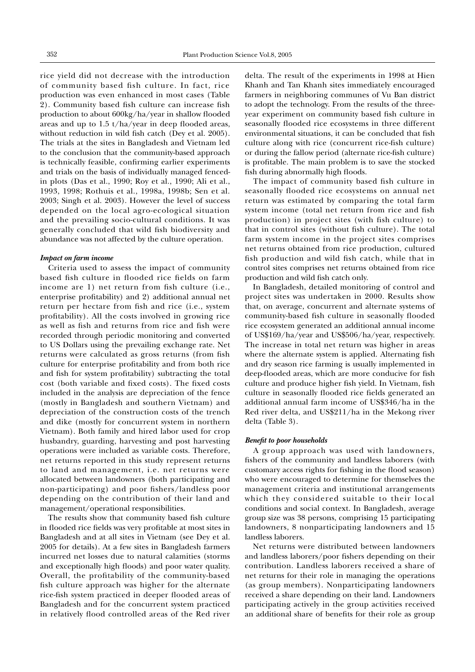rice yield did not decrease with the introduction of community based fish culture. In fact, rice production was even enhanced in most cases (Table 2). Community based fish culture can increase fish production to about  $600\text{kg/ha/year}$  in shallow flooded areas and up to  $1.5$  t/ha/year in deep flooded areas, without reduction in wild fish catch (Dey et al. 2005). The trials at the sites in Bangladesh and Vietnam led to the conclusion that the community-based approach is technically feasible, confirming earlier experiments and trials on the basis of individually managed fencedin plots (Das et al., 1990; Roy et al., 1990; Ali et al., 1993, 1998; Rothuis et al., 1998a, 1998b; Sen et al. 2003; Singh et al. 2003). However the level of success depended on the local agro-ecological situation and the prevailing socio-cultural conditions. It was generally concluded that wild fish biodiversity and abundance was not affected by the culture operation.

## *Impact on farm income*

Criteria used to assess the impact of community based fish culture in flooded rice fields on farm income are 1) net return from fish culture (i.e., enterprise profitability) and 2) additional annual net return per hectare from fish and rice (i.e., system profitability). All the costs involved in growing rice as well as fish and returns from rice and fish were recorded through periodic monitoring and converted to US Dollars using the prevailing exchange rate. Net returns were calculated as gross returns (from fish culture for enterprise profitability and from both rice and fish for system profitability) subtracting the total cost (both variable and fixed costs). The fixed costs included in the analysis are depreciation of the fence (mostly in Bangladesh and southern Vietnam) and depreciation of the construction costs of the trench and dike (mostly for concurrent system in northern Vietnam). Both family and hired labor used for crop husbandry, guarding, harvesting and post harvesting operations were included as variable costs. Therefore, net returns reported in this study represent returns to land and management, i.e. net returns were allocated between landowners (both participating and non-participating) and poor fishers/landless poor depending on the contribution of their land and management/operational responsibilities.

The results show that community based fish culture in flooded rice fields was very profitable at most sites in Bangladesh and at all sites in Vietnam (see Dey et al. 2005 for details). At a few sites in Bangladesh farmers incurred net losses due to natural calamities (storms and exceptionally high floods) and poor water quality. Overall, the profitability of the community-based fish culture approach was higher for the alternate rice-fish system practiced in deeper flooded areas of Bangladesh and for the concurrent system practiced in relatively flood controlled areas of the Red river delta. The result of the experiments in 1998 at Hien Khanh and Tan Khanh sites immediately encouraged farmers in neighboring communes of Vu Ban district to adopt the technology. From the results of the threeyear experiment on community based fish culture in seasonally flooded rice ecosystems in three different environmental situations, it can be concluded that fish culture along with rice (concurrent rice-fish culture) or during the fallow period (alternate rice-fish culture) is profitable. The main problem is to save the stocked fish during abnormally high floods.

The impact of community based fish culture in seasonally flooded rice ecosystems on annual net return was estimated by comparing the total farm system income (total net return from rice and fish production) in project sites (with fish culture) to that in control sites (without fish culture). The total farm system income in the project sites comprises net returns obtained from rice production, cultured fish production and wild fish catch, while that in control sites comprises net returns obtained from rice production and wild fish catch only.

In Bangladesh, detailed monitoring of control and project sites was undertaken in 2000. Results show that, on average, concurrent and alternate systems of community-based fish culture in seasonally flooded rice ecosystem generated an additional annual income of US\$169/ha/year and US\$506/ha/year, respectively. The increase in total net return was higher in areas where the alternate system is applied. Alternating fish and dry season rice farming is usually implemented in deep-flooded areas, which are more conducive for fish culture and produce higher fish yield. In Vietnam, fish culture in seasonally flooded rice fields generated an additional annual farm income of US\$346/ha in the Red river delta, and US\$211/ha in the Mekong river delta (Table 3).

## **Benefit to poor households**

A group approach was used with landowners, fishers of the community and landless laborers (with customary access rights for fishing in the flood season) who were encouraged to determine for themselves the management criteria and institutional arrangements which they considered suitable to their local conditions and social context. In Bangladesh, average group size was 38 persons, comprising 15 participating landowners, 8 nonparticipating landowners and 15 landless laborers.

Net returns were distributed between landowners and landless laborers/poor fishers depending on their contribution. Landless laborers received a share of net returns for their role in managing the operations (as group members). Nonparticipating landowners received a share depending on their land. Landowners participating actively in the group activities received an additional share of benefits for their role as group